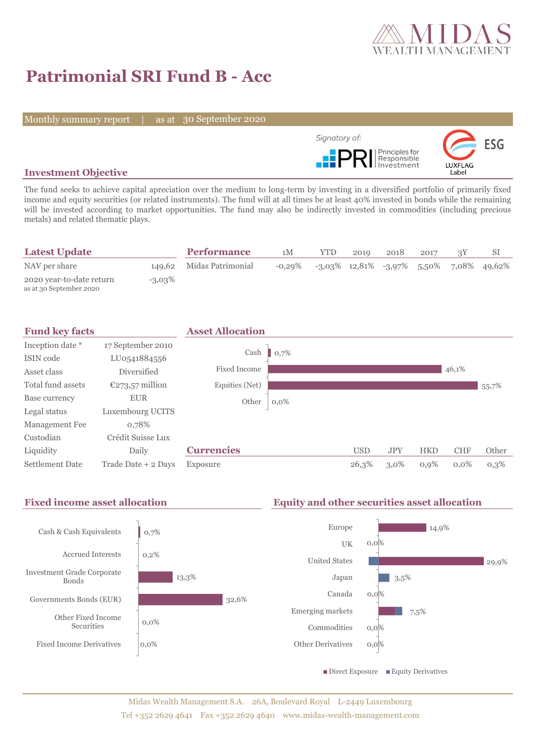

# **Patrimonial SRI Fund B - Acc**

Monthly summary report | as at 30 September 2020



#### **Investment Objective**

The fund seeks to achieve capital apreciation over the medium to long-term by investing in a diversified portfolio of primarily fixed income and equity securities (or related instruments). The fund will at all times be at least 40% invested in bonds while the remaining will be invested according to market opportunities. The fund may also be indirectly invested in commodities (including precious metals) and related thematic plays.

| <b>Latest Update</b>                                |           | <b>Performance</b>       | 1M        | YTD. | 2019 | 2018 | 2017 |                                               |
|-----------------------------------------------------|-----------|--------------------------|-----------|------|------|------|------|-----------------------------------------------|
| NAV per share                                       |           | 149,62 Midas Patrimonial | $-0.29\%$ |      |      |      |      | $-3.03\%$ 12.81% $-3.97\%$ 5.50% 7.08% 49.62% |
| 2020 year-to-date return<br>as at 30 September 2020 | $-3.03\%$ |                          |           |      |      |      |      |                                               |



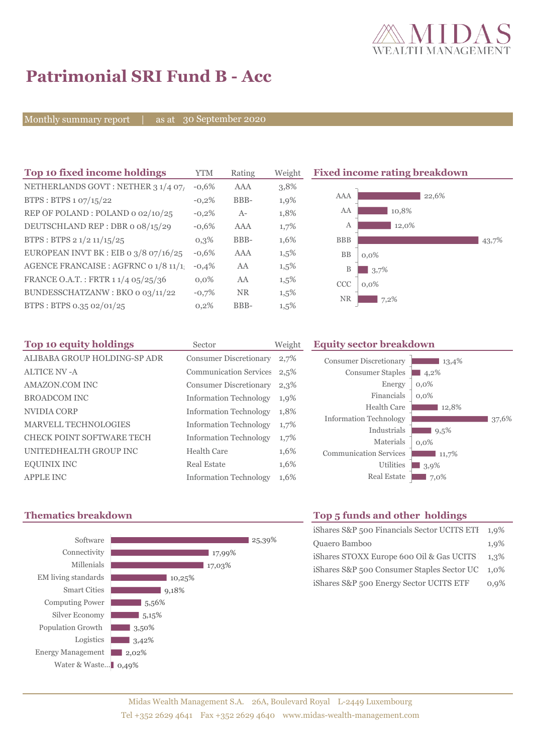

43,7%

# **Patrimonial SRI Fund B - Acc**

Monthly summary report | as at 30 September 2020

| Top 10 fixed income holdings                       | <b>YTM</b> | Rating     | Weight  | <b>Fixed income rating breakdown</b> |
|----------------------------------------------------|------------|------------|---------|--------------------------------------|
| NETHERLANDS GOVT: NETHER 3 1/4 07/                 | $-0.6%$    | <b>AAA</b> | 3,8%    |                                      |
| BTPS: BTPS 1 07/15/22                              | $-0,2\%$   | BBB-       | 1,9%    | AAA<br>22,6%                         |
| REP OF POLAND: POLAND 0 02/10/25                   | $-0,2%$    | $A-$       | 1,8%    | AA<br>10,8%                          |
| DEUTSCHLAND REP : DBR o 08/15/29                   | $-0.6%$    | <b>AAA</b> | 1,7%    | 12,0%<br>А                           |
| BTPS : BTPS $2 \frac{1}{2} \frac{11}{15} \cdot 25$ | $0,3\%$    | BBB-       | 1,6%    | <b>BBB</b>                           |
| EUROPEAN INVT BK : EIB o $3/8$ o7/16/25            | $-0.6%$    | <b>AAA</b> | 1,5%    | BB<br>$0.0\%$                        |
| AGENCE FRANCAISE : AGFRNC 0 1/8 11/1               | $-0,4%$    | AA         | $1,5\%$ | 3,7%<br>B                            |
| FRANCE O.A.T.: FRTR 1 1/4 05/25/36                 | $0.0\%$    | AA         | $1,5\%$ | <b>CCC</b><br>$0.0\%$                |
| BUNDESSCHATZANW: BKO o 03/11/22                    | $-0,7%$    | <b>NR</b>  | $1,5\%$ | <b>NR</b><br>7,2%                    |
| BTPS: BTPS 0.35 02/01/25                           | 0,2%       | BBB-       | 1,5%    |                                      |

| Top 10 equity holdings       | Sector                        | Weight |
|------------------------------|-------------------------------|--------|
| ALIBABA GROUP HOLDING-SP ADR | <b>Consumer Discretionary</b> | 2,7%   |
| <b>ALTICE NV - A</b>         | <b>Communication Services</b> | 2,5%   |
| AMAZON.COM INC               | <b>Consumer Discretionary</b> | 2,3%   |
| <b>BROADCOM INC</b>          | <b>Information Technology</b> | 1,9%   |
| NVIDIA CORP                  | <b>Information Technology</b> | 1,8%   |
| <b>MARVELL TECHNOLOGIES</b>  | <b>Information Technology</b> | 1,7%   |
| CHECK POINT SOFTWARE TECH    | <b>Information Technology</b> | 1,7%   |
| UNITEDHEALTH GROUP INC       | Health Care                   | 1,6%   |
| <b>EQUINIX INC</b>           | Real Estate                   | 1,6%   |
| <b>APPLE INC</b>             | <b>Information Technology</b> | 1,6%   |



## **Equity sector breakdown**

| <b>Consumer Discretionary</b> | 13,4%   |
|-------------------------------|---------|
| <b>Consumer Staples</b>       | 4,2%    |
| Energy                        | $0,0\%$ |
| Financials                    | $0.0\%$ |
| Health Care                   | 12,8%   |
| <b>Information Technology</b> | 37.6%   |
| Industrials                   | 9,5%    |
| Materials                     | $0.0\%$ |
| <b>Communication Services</b> | 11,7%   |
| <b>Utilities</b>              | 3.9%    |
| <b>Real Estate</b>            | 7,0%    |

### **Thematics breakdown Top 5 funds and other holdings**

| iShares S&P 500 Financials Sector UCITS ETH | $1,9\%$ |
|---------------------------------------------|---------|
| Quaero Bamboo                               | 1,9%    |
| iShares STOXX Europe 600 Oil & Gas UCITS    | $1.3\%$ |
| iShares S&P 500 Consumer Staples Sector UC  | $1.0\%$ |
| iShares S&P 500 Energy Sector UCITS ETF     | 0.9%    |